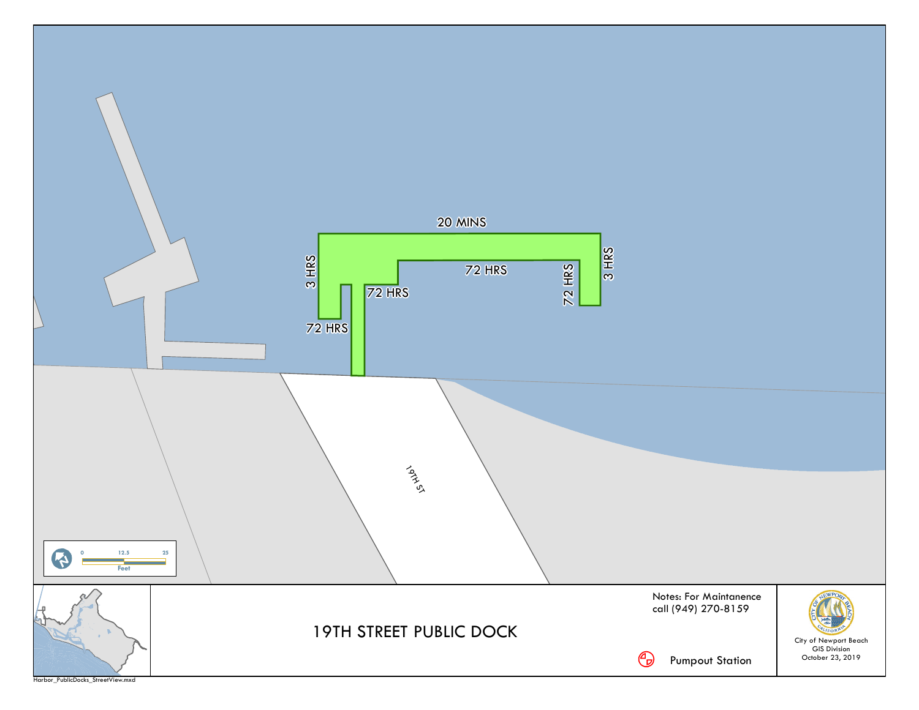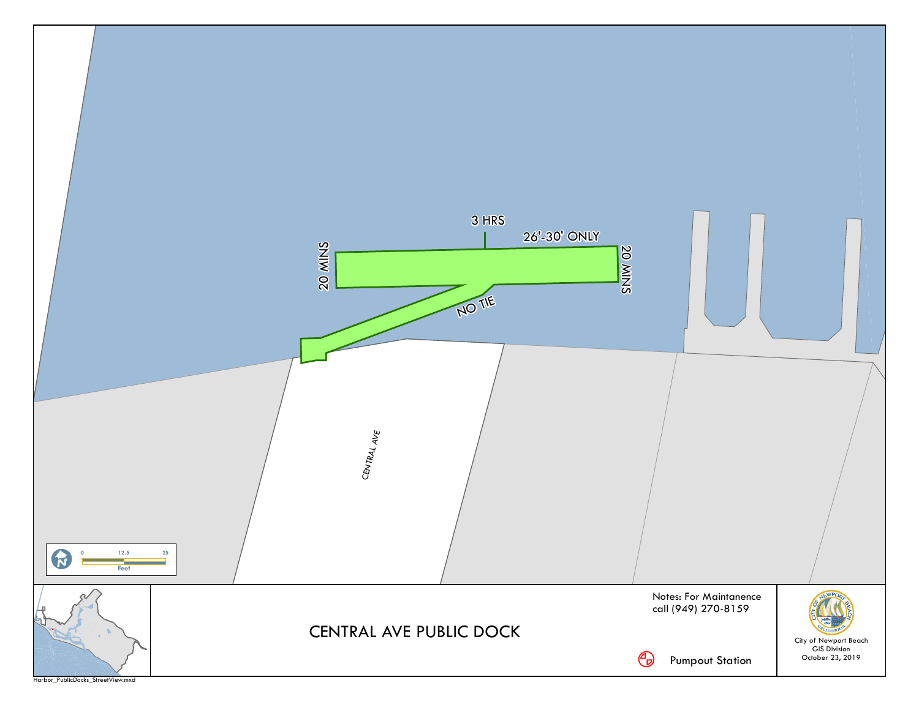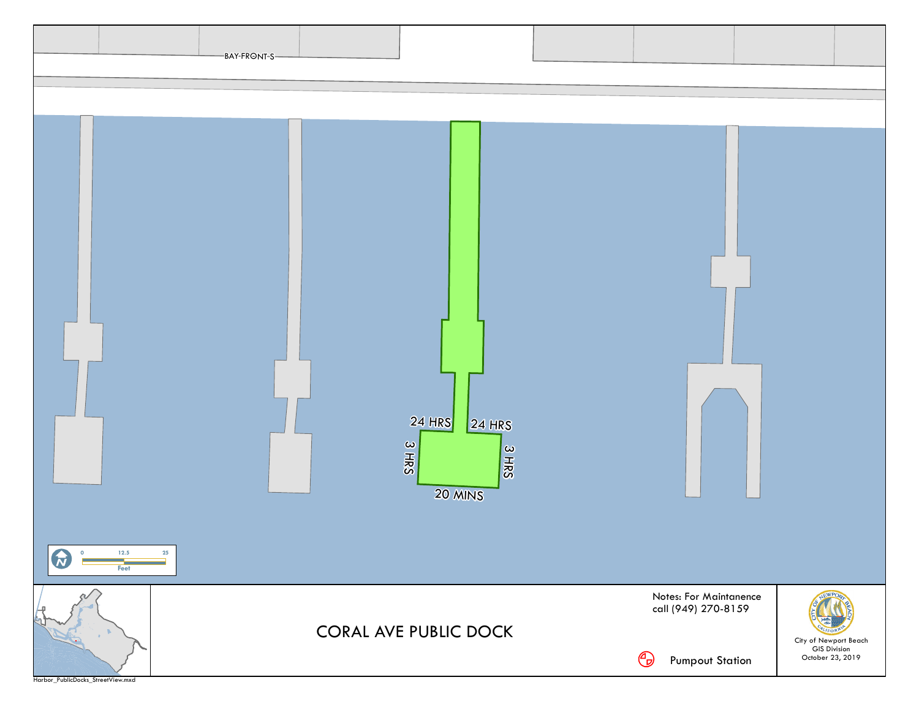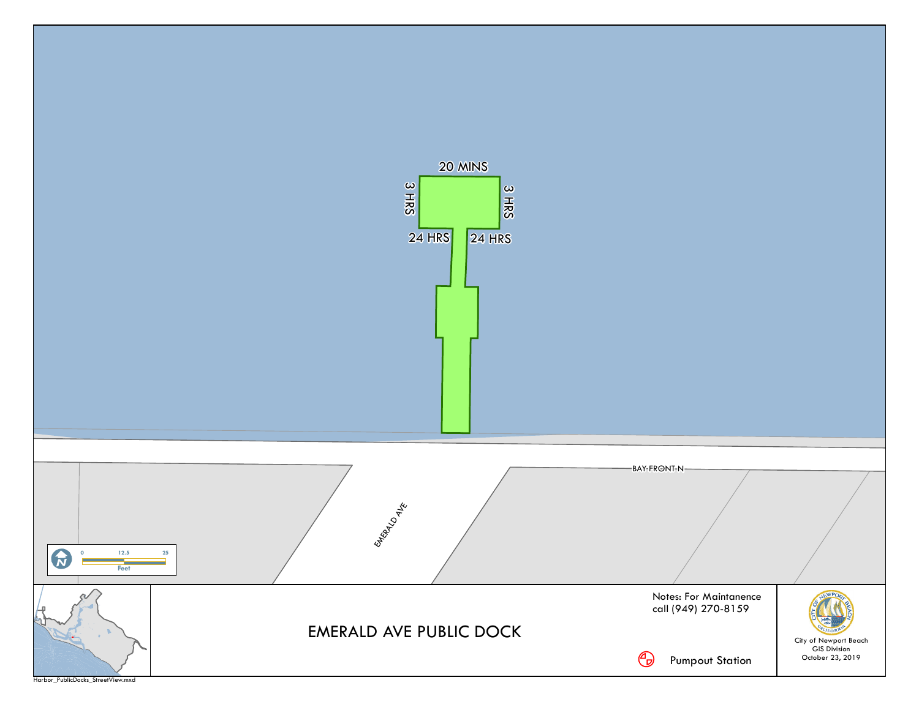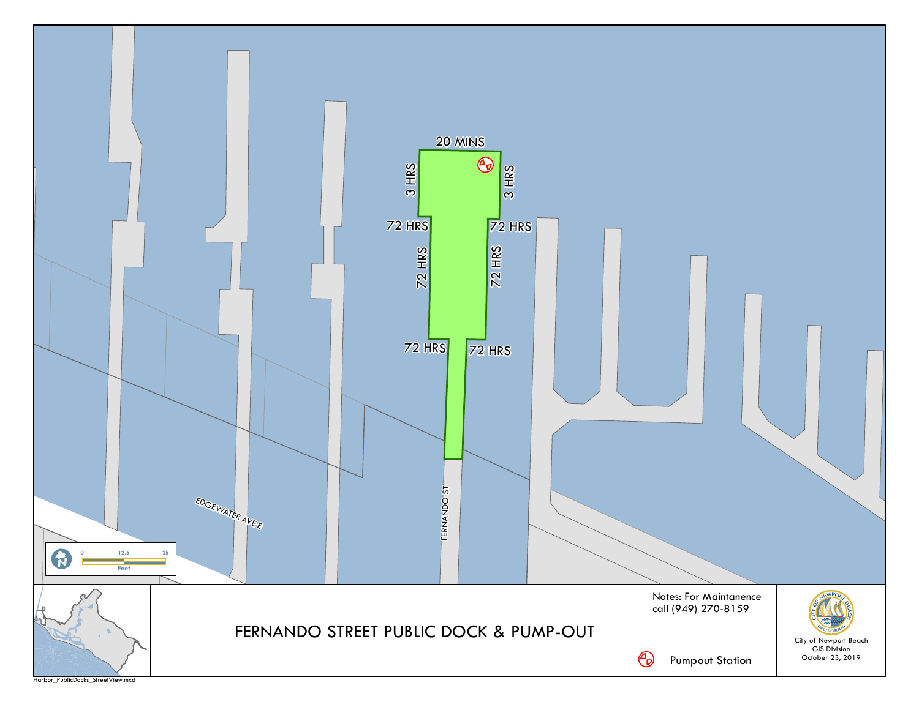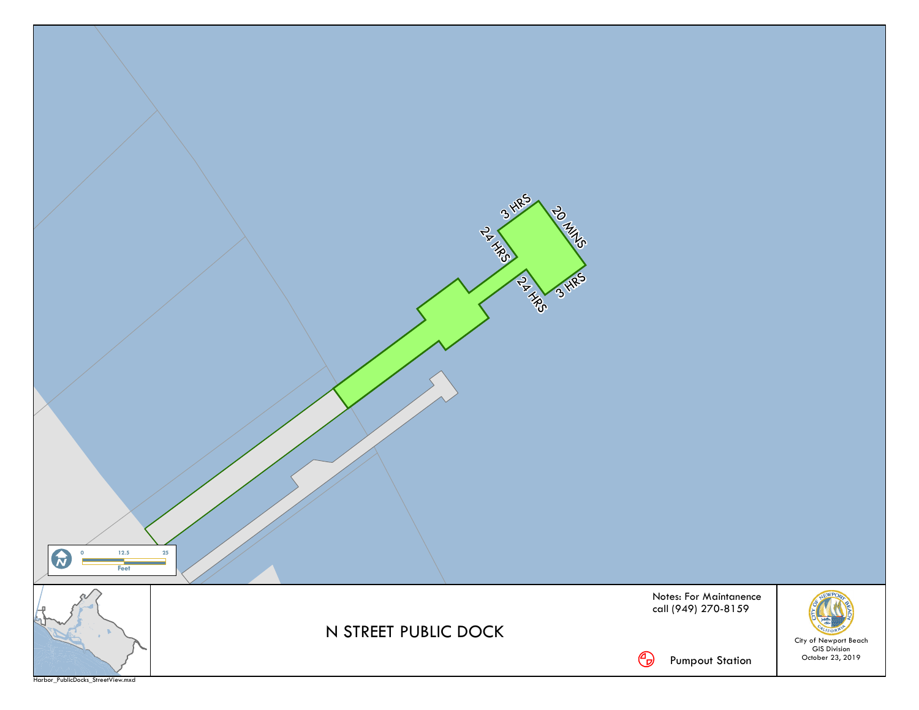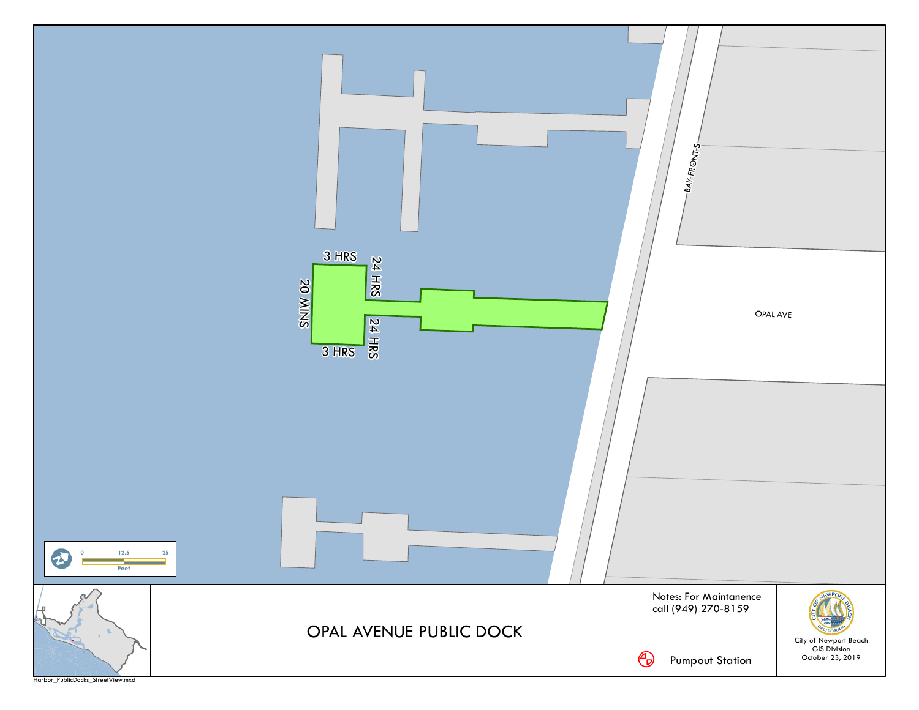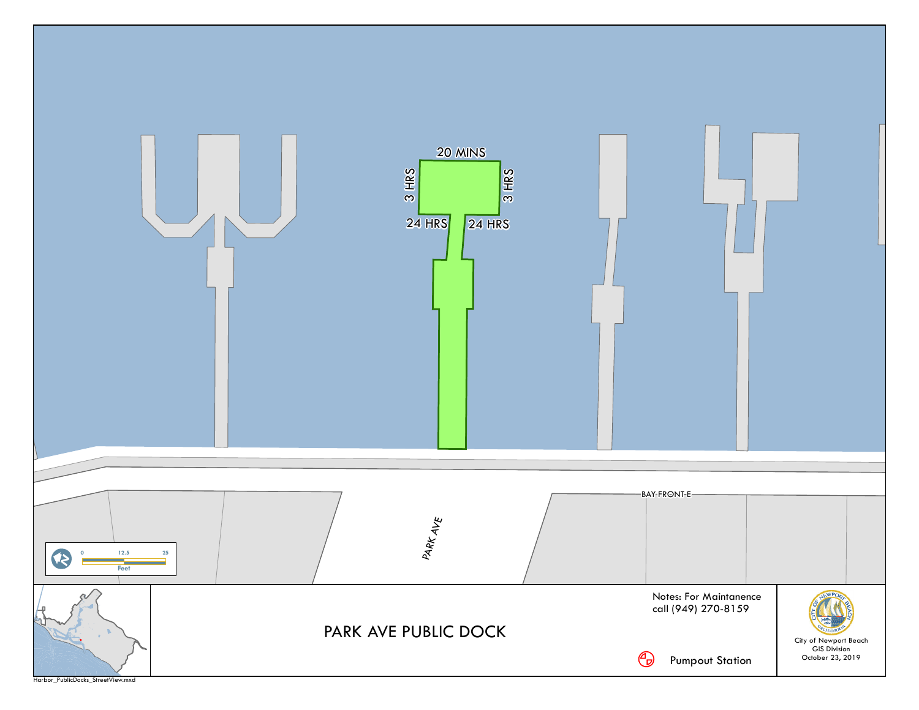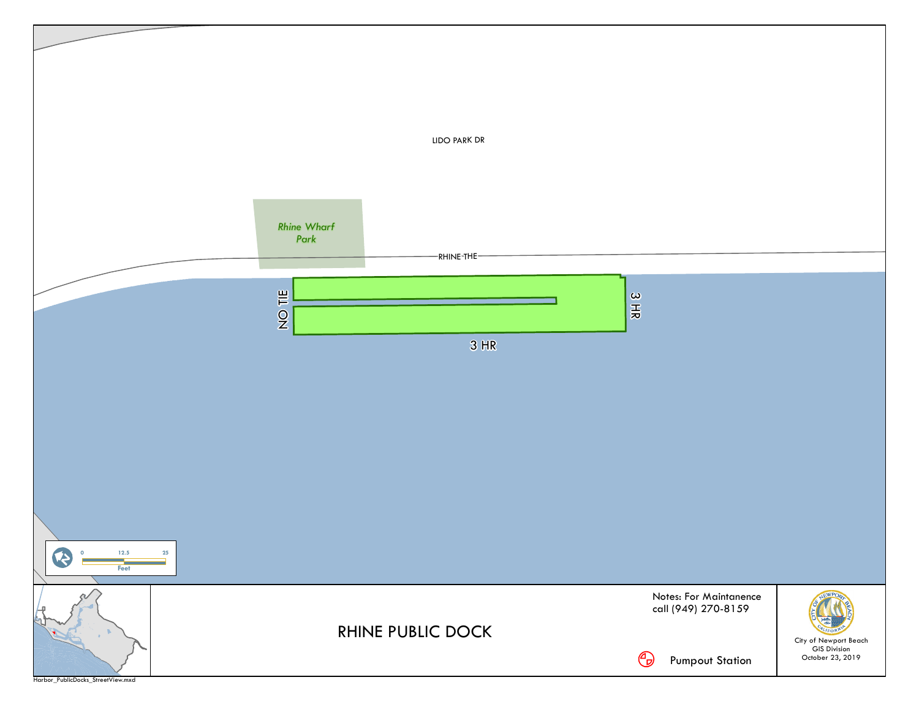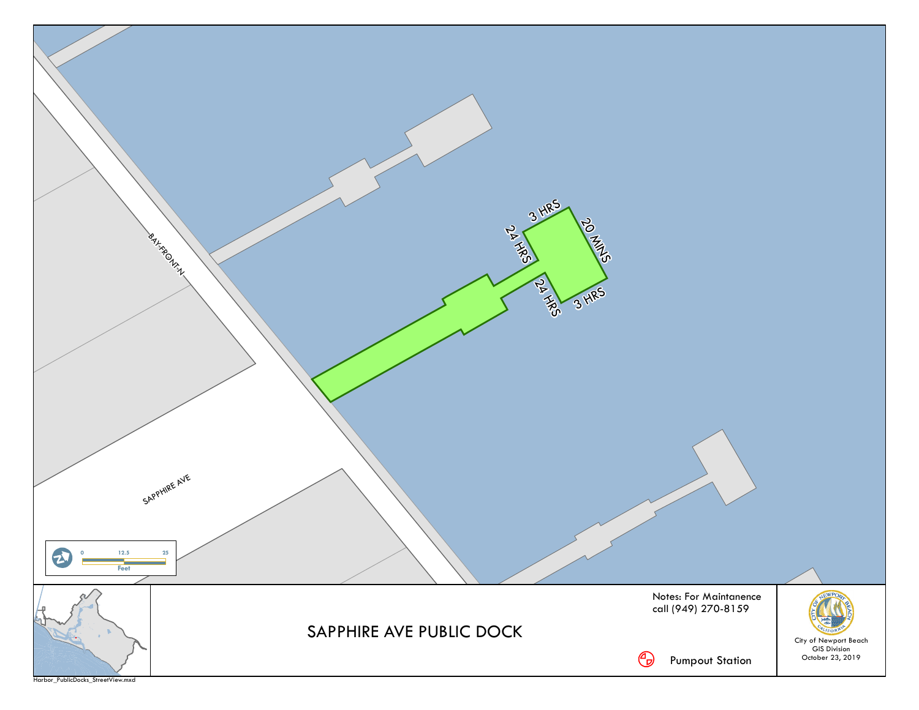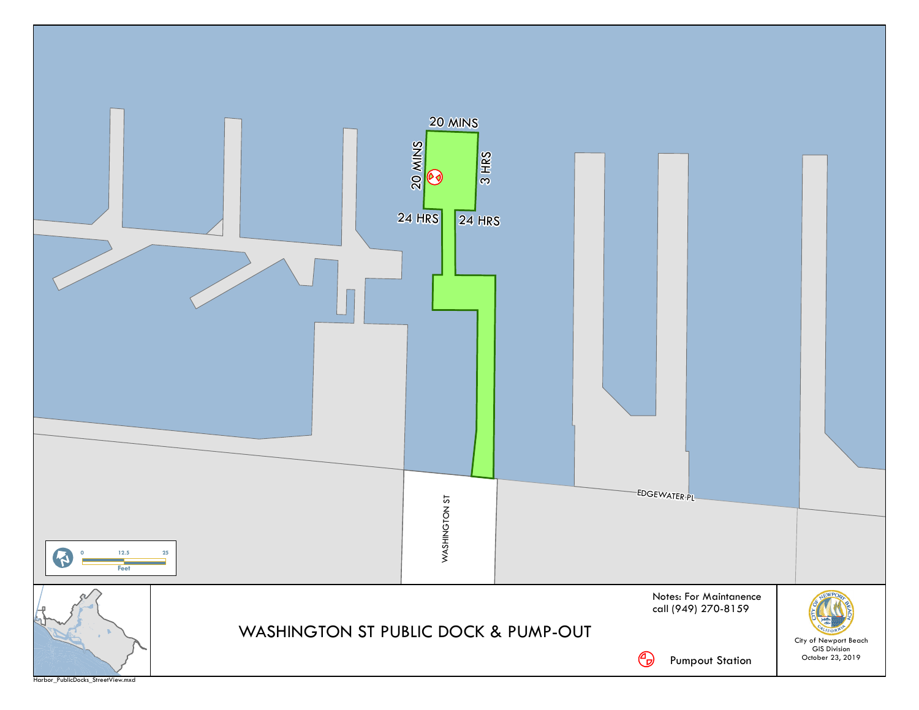